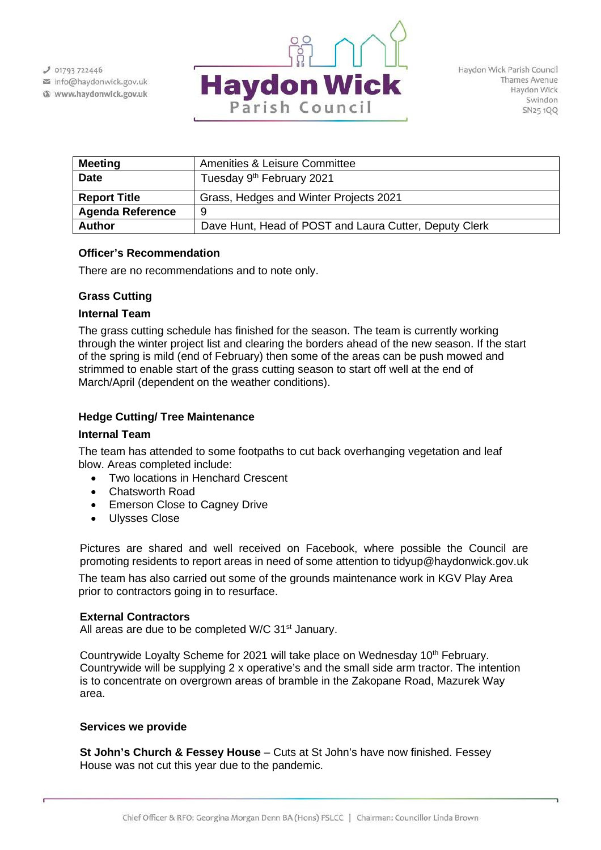$J$  01793 722446 info@haydonwick.gov.uk Www.haydonwick.gov.uk



| <b>Meeting</b>          | Amenities & Leisure Committee                          |
|-------------------------|--------------------------------------------------------|
| <b>Date</b>             | Tuesday 9 <sup>th</sup> February 2021                  |
| <b>Report Title</b>     | Grass, Hedges and Winter Projects 2021                 |
| <b>Agenda Reference</b> | 9                                                      |
| <b>Author</b>           | Dave Hunt, Head of POST and Laura Cutter, Deputy Clerk |

# **Officer's Recommendation**

There are no recommendations and to note only.

## **Grass Cutting**

## **Internal Team**

The grass cutting schedule has finished for the season. The team is currently working through the winter project list and clearing the borders ahead of the new season. If the start of the spring is mild (end of February) then some of the areas can be push mowed and strimmed to enable start of the grass cutting season to start off well at the end of March/April (dependent on the weather conditions).

# **Hedge Cutting/ Tree Maintenance**

#### **Internal Team**

The team has attended to some footpaths to cut back overhanging vegetation and leaf blow. Areas completed include:

- Two locations in Henchard Crescent
- Chatsworth Road
- Emerson Close to Cagney Drive
- Ulysses Close

Pictures are shared and well received on Facebook, where possible the Council are promoting residents to report areas in need of some attention to tidyup@haydonwick.gov.uk

The team has also carried out some of the grounds maintenance work in KGV Play Area prior to contractors going in to resurface.

#### **External Contractors**

All areas are due to be completed W/C  $31<sup>st</sup>$  January.

Countrywide Loyalty Scheme for 2021 will take place on Wednesday 10<sup>th</sup> February. Countrywide will be supplying 2 x operative's and the small side arm tractor. The intention is to concentrate on overgrown areas of bramble in the Zakopane Road, Mazurek Way area.

#### **Services we provide**

**St John's Church & Fessey House** – Cuts at St John's have now finished. Fessey House was not cut this year due to the pandemic.